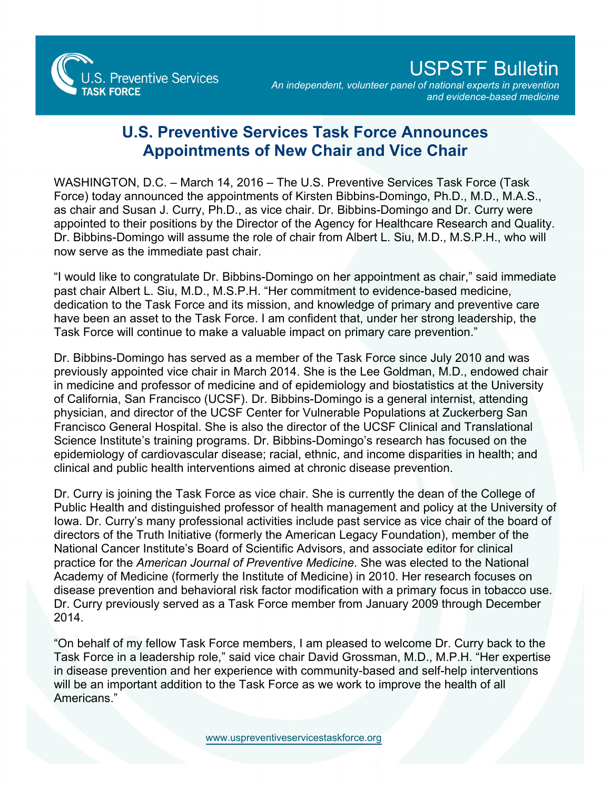

## USPSTF Bulletin

*An independent, volunteer panel of national experts in prevention and evidence-based medicine*

## **U.S. Preventive Services Task Force Announces Appointments of New Chair and Vice Chair**

WASHINGTON, D.C. – March 14, 2016 – The U.S. Preventive Services Task Force (Task Force) today announced the appointments of Kirsten Bibbins-Domingo, Ph.D., M.D., M.A.S., as chair and Susan J. Curry, Ph.D., as vice chair. Dr. Bibbins-Domingo and Dr. Curry were appointed to their positions by the Director of the Agency for Healthcare Research and Quality. Dr. Bibbins-Domingo will assume the role of chair from Albert L. Siu, M.D., M.S.P.H., who will now serve as the immediate past chair.

"I would like to congratulate Dr. Bibbins-Domingo on her appointment as chair," said immediate past chair Albert L. Siu, M.D., M.S.P.H. "Her commitment to evidence-based medicine, dedication to the Task Force and its mission, and knowledge of primary and preventive care have been an asset to the Task Force. I am confident that, under her strong leadership, the Task Force will continue to make a valuable impact on primary care prevention."

Dr. Bibbins-Domingo has served as a member of the Task Force since July 2010 and was previously appointed vice chair in March 2014. She is the Lee Goldman, M.D., endowed chair in medicine and professor of medicine and of epidemiology and biostatistics at the University of California, San Francisco (UCSF). Dr. Bibbins-Domingo is a general internist, attending physician, and director of the UCSF Center for Vulnerable Populations at Zuckerberg San Francisco General Hospital. She is also the director of the UCSF Clinical and Translational Science Institute's training programs. Dr. Bibbins-Domingo's research has focused on the epidemiology of cardiovascular disease; racial, ethnic, and income disparities in health; and clinical and public health interventions aimed at chronic disease prevention.

Dr. Curry is joining the Task Force as vice chair. She is currently the dean of the College of Public Health and distinguished professor of health management and policy at the University of Iowa. Dr. Curry's many professional activities include past service as vice chair of the board of directors of the Truth Initiative (formerly the American Legacy Foundation), member of the National Cancer Institute's Board of Scientific Advisors, and associate editor for clinical practice for the *American Journal of Preventive Medicine*. She was elected to the National Academy of Medicine (formerly the Institute of Medicine) in 2010. Her research focuses on disease prevention and behavioral risk factor modification with a primary focus in tobacco use. Dr. Curry previously served as a Task Force member from January 2009 through December 2014.

"On behalf of my fellow Task Force members, I am pleased to welcome Dr. Curry back to the Task Force in a leadership role," said vice chair David Grossman, M.D., M.P.H. "Her expertise in disease prevention and her experience with community-based and self-help interventions will be an important addition to the Task Force as we work to improve the health of all Americans."